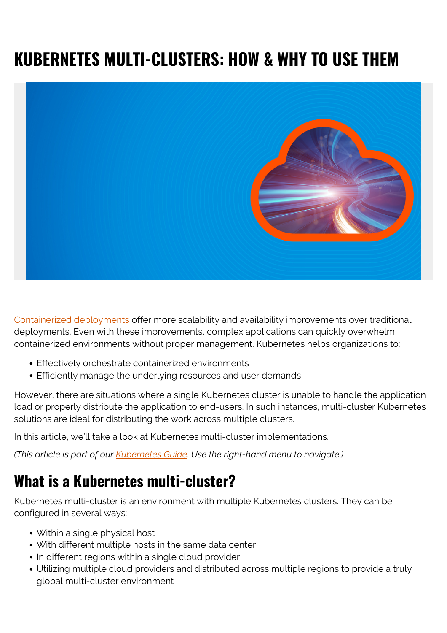# **KUBERNETES MULTI-CLUSTERS: HOW & WHY TO USE THEM**



[Containerized deployments](https://blogs.bmc.com/blogs/what-is-a-container-containerization-explained/) offer more scalability and availability improvements over traditional deployments. Even with these improvements, complex applications can quickly overwhelm containerized environments without proper management. Kubernetes helps organizations to:

- Effectively orchestrate containerized environments
- Efficiently manage the underlying resources and user demands

However, there are situations where a single Kubernetes cluster is unable to handle the application load or properly distribute the application to end-users. In such instances, multi-cluster Kubernetes solutions are ideal for distributing the work across multiple clusters.

In this article, we'll take a look at Kubernetes multi-cluster implementations.

*(This article is part of our [Kubernetes Guide](https://blogs.bmc.com/blogs/what-is-kubernetes/). Use the right-hand menu to navigate.)*

## **What is a Kubernetes multi-cluster?**

Kubernetes multi-cluster is an environment with multiple Kubernetes clusters. They can be configured in several ways:

- Within a single physical host
- With different multiple hosts in the same data center
- In different regions within a single cloud provider
- Utilizing multiple cloud providers and distributed across multiple regions to provide a truly global multi-cluster environment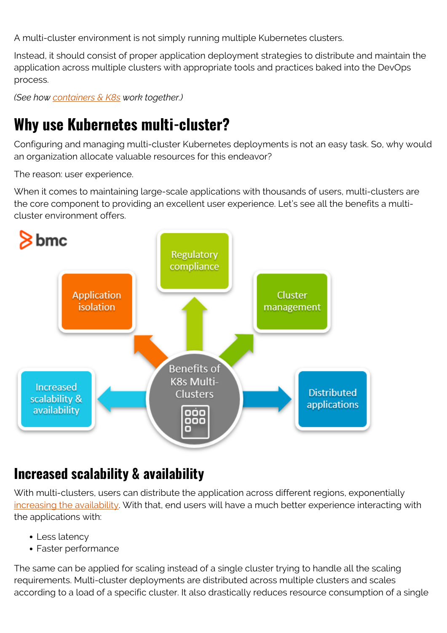A multi-cluster environment is not simply running multiple Kubernetes clusters.

Instead, it should consist of proper application deployment strategies to distribute and maintain the application across multiple clusters with appropriate tools and practices baked into the DevOps process.

*(See how [containers & K8s](https://blogs.bmc.com/blogs/containers-vs-kubernetes/) work together.)*

## **Why use Kubernetes multi-cluster?**

Configuring and managing multi-cluster Kubernetes deployments is not an easy task. So, why would an organization allocate valuable resources for this endeavor?

The reason: user experience.

When it comes to maintaining large-scale applications with thousands of users, multi-clusters are the core component to providing an excellent user experience. Let's see all the benefits a multicluster environment offers.



#### **Increased scalability & availability**

With multi-clusters, users can distribute the application across different regions, exponentially [increasing the availability](https://blogs.bmc.com/blogs/high-availability/). With that, end users will have a much better experience interacting with the applications with:

- Less latency
- Faster performance

The same can be applied for scaling instead of a single cluster trying to handle all the scaling requirements. Multi-cluster deployments are distributed across multiple clusters and scales according to a load of a specific cluster. It also drastically reduces resource consumption of a single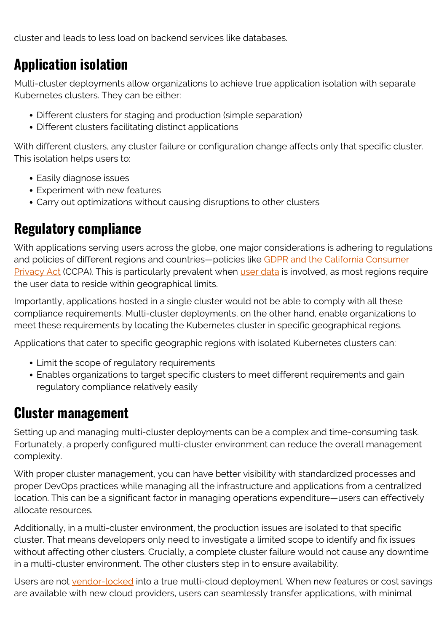cluster and leads to less load on backend services like databases.

#### **Application isolation**

Multi-cluster deployments allow organizations to achieve true application isolation with separate Kubernetes clusters. They can be either:

- Different clusters for staging and production (simple separation)
- Different clusters facilitating distinct applications

With different clusters, any cluster failure or configuration change affects only that specific cluster. This isolation helps users to:

- Easily diagnose issues
- Experiment with new features
- Carry out optimizations without causing disruptions to other clusters

#### **Regulatory compliance**

With applications serving users across the globe, one major considerations is adhering to regulations and policies of different regions and countries—policies like [GDPR and the California Consumer](https://www.ama.org/pages/california-consumer-privacy-protection-act-what-you-need-to-know/) [Privacy Act](https://www.ama.org/pages/california-consumer-privacy-protection-act-what-you-need-to-know/) (CCPA). This is particularly prevalent when [user data](https://blogs.bmc.com/blogs/structured-vs-unstructured-data/) is involved, as most regions require the user data to reside within geographical limits.

Importantly, applications hosted in a single cluster would not be able to comply with all these compliance requirements. Multi-cluster deployments, on the other hand, enable organizations to meet these requirements by locating the Kubernetes cluster in specific geographical regions.

Applications that cater to specific geographic regions with isolated Kubernetes clusters can:

- Limit the scope of regulatory requirements
- Enables organizations to target specific clusters to meet different requirements and gain regulatory compliance relatively easily

#### **Cluster management**

Setting up and managing multi-cluster deployments can be a complex and time-consuming task. Fortunately, a properly configured multi-cluster environment can reduce the overall management complexity.

With proper cluster management, you can have better visibility with standardized processes and proper DevOps practices while managing all the infrastructure and applications from a centralized location. This can be a significant factor in managing operations expenditure—users can effectively allocate resources.

Additionally, in a multi-cluster environment, the production issues are isolated to that specific cluster. That means developers only need to investigate a limited scope to identify and fix issues without affecting other clusters. Crucially, a complete cluster failure would not cause any downtime in a multi-cluster environment. The other clusters step in to ensure availability.

Users are not [vendor-locked](https://blogs.bmc.com/blogs/vendor-lock-in/) into a true multi-cloud deployment. When new features or cost savings are available with new cloud providers, users can seamlessly transfer applications, with minimal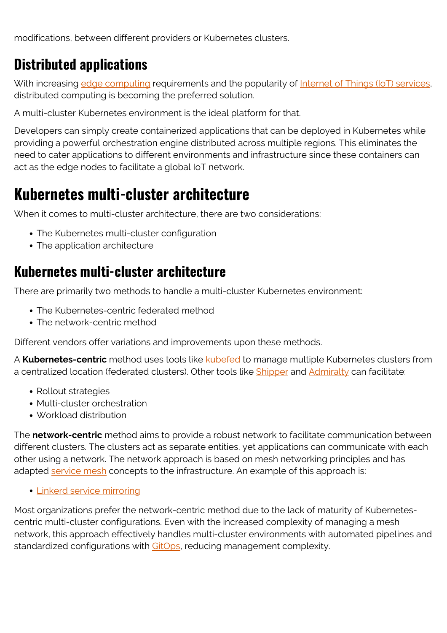modifications, between different providers or Kubernetes clusters.

### **Distributed applications**

With increasing [edge computing](https://blogs.bmc.com/blogs/edge-computing/) requirements and the popularity of [Internet of Things \(IoT\) services,](https://blogs.bmc.com/blogs/iot-internet-of-things/) distributed computing is becoming the preferred solution.

A multi-cluster Kubernetes environment is the ideal platform for that.

Developers can simply create containerized applications that can be deployed in Kubernetes while providing a powerful orchestration engine distributed across multiple regions. This eliminates the need to cater applications to different environments and infrastructure since these containers can act as the edge nodes to facilitate a global IoT network.

## **Kubernetes multi-cluster architecture**

When it comes to multi-cluster architecture, there are two considerations:

- The Kubernetes multi-cluster configuration
- The application architecture

#### **Kubernetes multi-cluster architecture**

There are primarily two methods to handle a multi-cluster Kubernetes environment:

- The Kubernetes-centric federated method
- The network-centric method

Different vendors offer variations and improvements upon these methods.

A **Kubernetes-centric** method uses tools like [kubefed](https://github.com/kubernetes-sigs/kubefed) to manage multiple Kubernetes clusters from a centralized location (federated clusters). Other tools like [Shipper](https://github.com/bookingcom/shipper) and [Admiralty](https://github.com/admiraltyio/admiralty) can facilitate:

- Rollout strategies
- Multi-cluster orchestration
- Workload distribution

The **network-centric** method aims to provide a robust network to facilitate communication between different clusters. The clusters act as separate entities, yet applications can communicate with each other using a network. The network approach is based on mesh networking principles and has adapted [service mesh](https://blogs.bmc.com/blogs/service-mesh/) concepts to the infrastructure. An example of this approach is:

• [Linkerd service mirroring](https://linkerd.io/2020/02/25/multicluster-kubernetes-with-service-mirroring/)

Most organizations prefer the network-centric method due to the lack of maturity of Kubernetescentric multi-cluster configurations. Even with the increased complexity of managing a mesh network, this approach effectively handles multi-cluster environments with automated pipelines and standardized configurations with [GitOps](https://about.gitlab.com/topics/gitops/), reducing management complexity.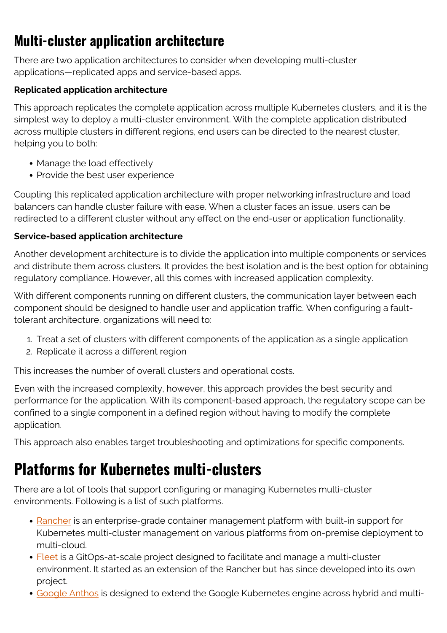## **Multi-cluster application architecture**

There are two application architectures to consider when developing multi-cluster applications—replicated apps and service-based apps.

#### **Replicated application architecture**

This approach replicates the complete application across multiple Kubernetes clusters, and it is the simplest way to deploy a multi-cluster environment. With the complete application distributed across multiple clusters in different regions, end users can be directed to the nearest cluster, helping you to both:

- Manage the load effectively
- Provide the best user experience

Coupling this replicated application architecture with proper networking infrastructure and load balancers can handle cluster failure with ease. When a cluster faces an issue, users can be redirected to a different cluster without any effect on the end-user or application functionality.

#### **Service-based application architecture**

Another development architecture is to divide the application into multiple components or services and distribute them across clusters. It provides the best isolation and is the best option for obtaining regulatory compliance. However, all this comes with increased application complexity.

With different components running on different clusters, the communication layer between each component should be designed to handle user and application traffic. When configuring a faulttolerant architecture, organizations will need to:

- 1. Treat a set of clusters with different components of the application as a single application
- 2. Replicate it across a different region

This increases the number of overall clusters and operational costs.

Even with the increased complexity, however, this approach provides the best security and performance for the application. With its component-based approach, the regulatory scope can be confined to a single component in a defined region without having to modify the complete application.

This approach also enables target troubleshooting and optimizations for specific components.

## **Platforms for Kubernetes multi-clusters**

There are a lot of tools that support configuring or managing Kubernetes multi-cluster environments. Following is a list of such platforms.

- [Rancher](https://rancher.com/) is an enterprise-grade container management platform with built-in support for Kubernetes multi-cluster management on various platforms from on-premise deployment to multi-cloud.
- [Fleet](https://github.com/rancher/fleet) is a GitOps-at-scale project designed to facilitate and manage a multi-cluster environment. It started as an extension of the Rancher but has since developed into its own project.
- [Google Anthos](https://cloud.google.com/anthos/clusters) is designed to extend the Google Kubernetes engine across hybrid and multi-